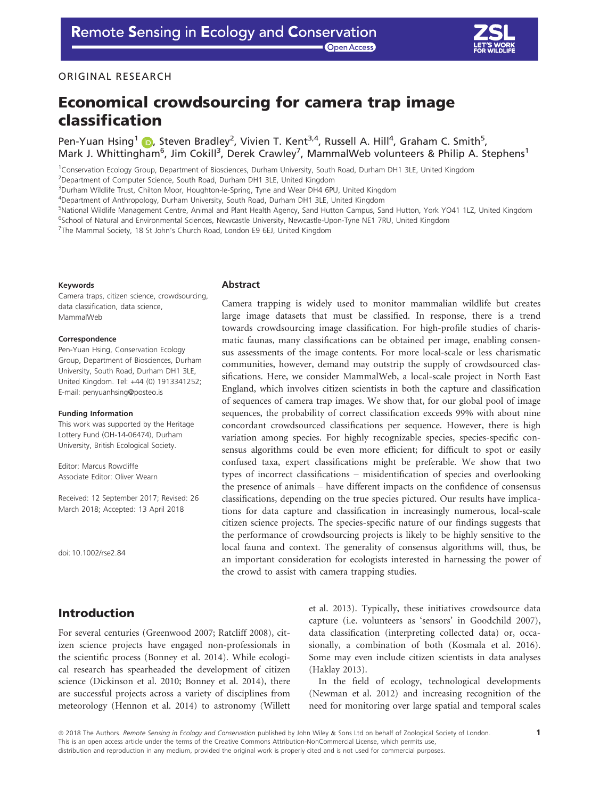**Open Access** 



### ORIGINAL RESEARCH

# Economical crowdsourcing for camera trap image classification

Pen-Yuan Hsing<sup>1</sup> (D), Steven Bradley<sup>2</sup>, Vivien T. Kent<sup>3,4</sup>, Russell A. Hill<sup>4</sup>, Graham C. Smith<sup>5</sup>, Mark J. Whittingham<sup>6</sup>, Jim Cokill<sup>3</sup>, Derek Crawley<sup>7</sup>, MammalWeb volunteers & Philip A. Stephens<sup>1</sup>

1 Conservation Ecology Group, Department of Biosciences, Durham University, South Road, Durham DH1 3LE, United Kingdom

<sup>2</sup>Department of Computer Science, South Road, Durham DH1 3LE, United Kingdom

<sup>3</sup>Durham Wildlife Trust, Chilton Moor, Houghton-le-Spring, Tyne and Wear DH4 6PU, United Kingdom

4 Department of Anthropology, Durham University, South Road, Durham DH1 3LE, United Kingdom

<sup>5</sup>National Wildlife Management Centre, Animal and Plant Health Agency, Sand Hutton Campus, Sand Hutton, York YO41 1LZ, United Kingdom

<sup>6</sup>School of Natural and Environmental Sciences, Newcastle University, Newcastle-Upon-Tyne NE1 7RU, United Kingdom

<sup>7</sup>The Mammal Society, 18 St John's Church Road, London E9 6EJ, United Kingdom

#### Keywords

Camera traps, citizen science, crowdsourcing, data classification, data science, MammalWeb

#### Correspondence

Pen-Yuan Hsing, Conservation Ecology Group, Department of Biosciences, Durham University, South Road, Durham DH1 3LE, United Kingdom. Tel: +44 (0) 1913341252; E-mail: penyuanhsing@posteo.is

#### Funding Information

This work was supported by the Heritage Lottery Fund (OH-14-06474), Durham University, British Ecological Society.

Editor: Marcus Rowcliffe Associate Editor: Oliver Wearn

Received: 12 September 2017; Revised: 26 March 2018; Accepted: 13 April 2018

doi: 10.1002/rse2.84

# Introduction

For several centuries (Greenwood 2007; Ratcliff 2008), citizen science projects have engaged non-professionals in the scientific process (Bonney et al. 2014). While ecological research has spearheaded the development of citizen science (Dickinson et al. 2010; Bonney et al. 2014), there are successful projects across a variety of disciplines from meteorology (Hennon et al. 2014) to astronomy (Willett

#### Abstract

Camera trapping is widely used to monitor mammalian wildlife but creates large image datasets that must be classified. In response, there is a trend towards crowdsourcing image classification. For high-profile studies of charismatic faunas, many classifications can be obtained per image, enabling consensus assessments of the image contents. For more local-scale or less charismatic communities, however, demand may outstrip the supply of crowdsourced classifications. Here, we consider MammalWeb, a local-scale project in North East England, which involves citizen scientists in both the capture and classification of sequences of camera trap images. We show that, for our global pool of image sequences, the probability of correct classification exceeds 99% with about nine concordant crowdsourced classifications per sequence. However, there is high variation among species. For highly recognizable species, species-specific consensus algorithms could be even more efficient; for difficult to spot or easily confused taxa, expert classifications might be preferable. We show that two types of incorrect classifications – misidentification of species and overlooking the presence of animals – have different impacts on the confidence of consensus classifications, depending on the true species pictured. Our results have implications for data capture and classification in increasingly numerous, local-scale citizen science projects. The species-specific nature of our findings suggests that the performance of crowdsourcing projects is likely to be highly sensitive to the local fauna and context. The generality of consensus algorithms will, thus, be an important consideration for ecologists interested in harnessing the power of the crowd to assist with camera trapping studies.

> et al. 2013). Typically, these initiatives crowdsource data capture (i.e. volunteers as 'sensors' in Goodchild 2007), data classification (interpreting collected data) or, occasionally, a combination of both (Kosmala et al. 2016). Some may even include citizen scientists in data analyses (Haklay 2013).

> In the field of ecology, technological developments (Newman et al. 2012) and increasing recognition of the need for monitoring over large spatial and temporal scales

ª 2018 The Authors. Remote Sensing in Ecology and Conservation published by John Wiley & Sons Ltd on behalf of Zoological Society of London. This is an open access article under the terms of the [Creative Commons Attribution-NonCommercial](http://creativecommons.org/licenses/by-nc/4.0/) License, which permits use, distribution and reproduction in any medium, provided the original work is properly cited and is not used for commercial purposes.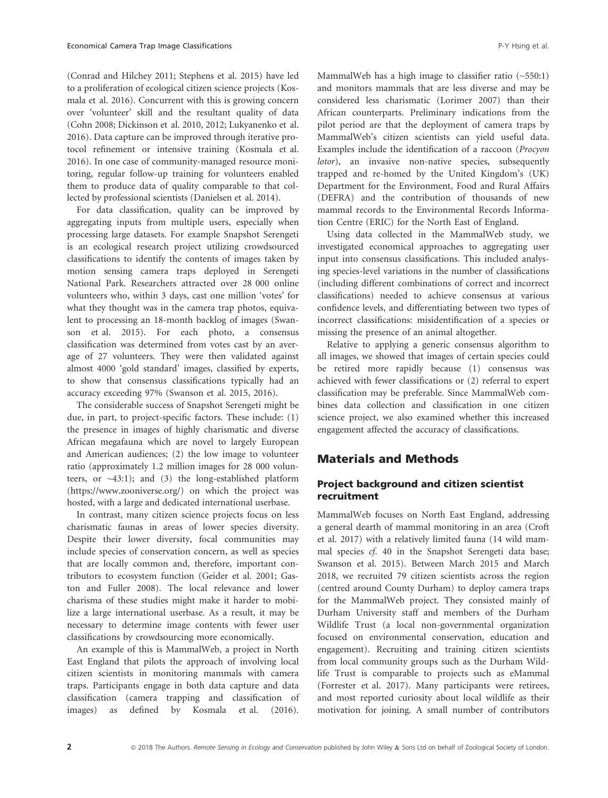(Conrad and Hilchey 2011; Stephens et al. 2015) have led to a proliferation of ecological citizen science projects (Kosmala et al. 2016). Concurrent with this is growing concern over 'volunteer' skill and the resultant quality of data (Cohn 2008; Dickinson et al. 2010, 2012; Lukyanenko et al. 2016). Data capture can be improved through iterative protocol refinement or intensive training (Kosmala et al. 2016). In one case of community-managed resource monitoring, regular follow-up training for volunteers enabled them to produce data of quality comparable to that collected by professional scientists (Danielsen et al. 2014).

For data classification, quality can be improved by aggregating inputs from multiple users, especially when processing large datasets. For example Snapshot Serengeti is an ecological research project utilizing crowdsourced classifications to identify the contents of images taken by motion sensing camera traps deployed in Serengeti National Park. Researchers attracted over 28 000 online volunteers who, within 3 days, cast one million 'votes' for what they thought was in the camera trap photos, equivalent to processing an 18-month backlog of images (Swanson et al. 2015). For each photo, a consensus classification was determined from votes cast by an average of 27 volunteers. They were then validated against almost 4000 'gold standard' images, classified by experts, to show that consensus classifications typically had an accuracy exceeding 97% (Swanson et al. 2015, 2016).

The considerable success of Snapshot Serengeti might be due, in part, to project-specific factors. These include: (1) the presence in images of highly charismatic and diverse African megafauna which are novel to largely European and American audiences; (2) the low image to volunteer ratio (approximately 1.2 million images for 28 000 volunteers, or  $\sim$ 43:1); and (3) the long-established platform [\(https://www.zooniverse.org/\)](https://www.zooniverse.org/) on which the project was hosted, with a large and dedicated international userbase.

In contrast, many citizen science projects focus on less charismatic faunas in areas of lower species diversity. Despite their lower diversity, focal communities may include species of conservation concern, as well as species that are locally common and, therefore, important contributors to ecosystem function (Geider et al. 2001; Gaston and Fuller 2008). The local relevance and lower charisma of these studies might make it harder to mobilize a large international userbase. As a result, it may be necessary to determine image contents with fewer user classifications by crowdsourcing more economically.

An example of this is MammalWeb, a project in North East England that pilots the approach of involving local citizen scientists in monitoring mammals with camera traps. Participants engage in both data capture and data classification (camera trapping and classification of images) as defined by Kosmala et al. (2016). MammalWeb has a high image to classifier ratio  $(-550:1)$ and monitors mammals that are less diverse and may be considered less charismatic (Lorimer 2007) than their African counterparts. Preliminary indications from the pilot period are that the deployment of camera traps by MammalWeb's citizen scientists can yield useful data. Examples include the identification of a raccoon (Procyon lotor), an invasive non-native species, subsequently trapped and re-homed by the United Kingdom's (UK) Department for the Environment, Food and Rural Affairs (DEFRA) and the contribution of thousands of new mammal records to the Environmental Records Information Centre (ERIC) for the North East of England.

Using data collected in the MammalWeb study, we investigated economical approaches to aggregating user input into consensus classifications. This included analysing species-level variations in the number of classifications (including different combinations of correct and incorrect classifications) needed to achieve consensus at various confidence levels, and differentiating between two types of incorrect classifications: misidentification of a species or missing the presence of an animal altogether.

Relative to applying a generic consensus algorithm to all images, we showed that images of certain species could be retired more rapidly because (1) consensus was achieved with fewer classifications or (2) referral to expert classification may be preferable. Since MammalWeb combines data collection and classification in one citizen science project, we also examined whether this increased engagement affected the accuracy of classifications.

## Materials and Methods

### Project background and citizen scientist recruitment

MammalWeb focuses on North East England, addressing a general dearth of mammal monitoring in an area (Croft et al. 2017) with a relatively limited fauna (14 wild mammal species cf. 40 in the Snapshot Serengeti data base; Swanson et al. 2015). Between March 2015 and March 2018, we recruited 79 citizen scientists across the region (centred around County Durham) to deploy camera traps for the MammalWeb project. They consisted mainly of Durham University staff and members of the Durham Wildlife Trust (a local non-governmental organization focused on environmental conservation, education and engagement). Recruiting and training citizen scientists from local community groups such as the Durham Wildlife Trust is comparable to projects such as eMammal (Forrester et al. 2017). Many participants were retirees, and most reported curiosity about local wildlife as their motivation for joining. A small number of contributors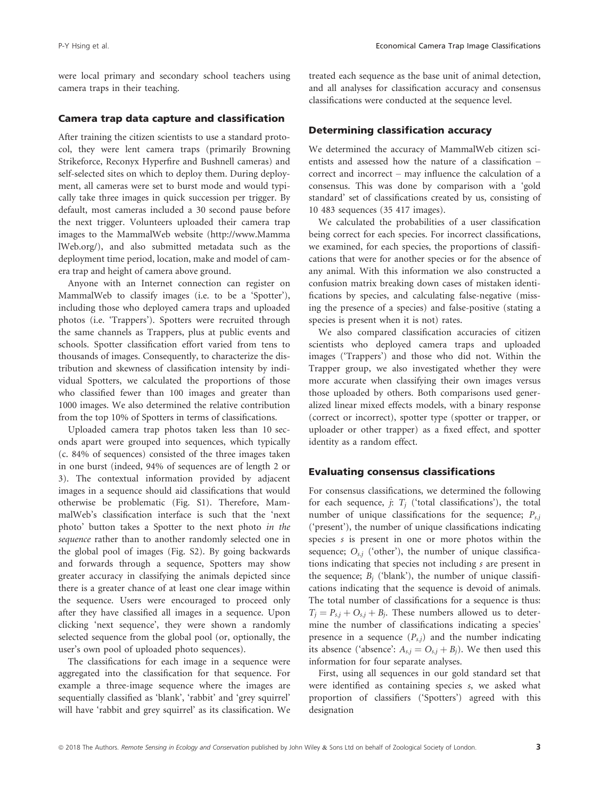were local primary and secondary school teachers using camera traps in their teaching.

### Camera trap data capture and classification

After training the citizen scientists to use a standard protocol, they were lent camera traps (primarily Browning Strikeforce, Reconyx Hyperfire and Bushnell cameras) and self-selected sites on which to deploy them. During deployment, all cameras were set to burst mode and would typically take three images in quick succession per trigger. By default, most cameras included a 30 second pause before the next trigger. Volunteers uploaded their camera trap images to the MammalWeb website [\(http://www.Mamma](http://www.MammalWeb.org/) [lWeb.org/](http://www.MammalWeb.org/)), and also submitted metadata such as the deployment time period, location, make and model of camera trap and height of camera above ground.

Anyone with an Internet connection can register on MammalWeb to classify images (i.e. to be a 'Spotter'), including those who deployed camera traps and uploaded photos (i.e. 'Trappers'). Spotters were recruited through the same channels as Trappers, plus at public events and schools. Spotter classification effort varied from tens to thousands of images. Consequently, to characterize the distribution and skewness of classification intensity by individual Spotters, we calculated the proportions of those who classified fewer than 100 images and greater than 1000 images. We also determined the relative contribution from the top 10% of Spotters in terms of classifications.

Uploaded camera trap photos taken less than 10 seconds apart were grouped into sequences, which typically (c. 84% of sequences) consisted of the three images taken in one burst (indeed, 94% of sequences are of length 2 or 3). The contextual information provided by adjacent images in a sequence should aid classifications that would otherwise be problematic (Fig. S1). Therefore, MammalWeb's classification interface is such that the 'next photo' button takes a Spotter to the next photo in the sequence rather than to another randomly selected one in the global pool of images (Fig. S2). By going backwards and forwards through a sequence, Spotters may show greater accuracy in classifying the animals depicted since there is a greater chance of at least one clear image within the sequence. Users were encouraged to proceed only after they have classified all images in a sequence. Upon clicking 'next sequence', they were shown a randomly selected sequence from the global pool (or, optionally, the user's own pool of uploaded photo sequences).

The classifications for each image in a sequence were aggregated into the classification for that sequence. For example a three-image sequence where the images are sequentially classified as 'blank', 'rabbit' and 'grey squirrel' will have 'rabbit and grey squirrel' as its classification. We treated each sequence as the base unit of animal detection, and all analyses for classification accuracy and consensus classifications were conducted at the sequence level.

#### Determining classification accuracy

We determined the accuracy of MammalWeb citizen scientists and assessed how the nature of a classification – correct and incorrect – may influence the calculation of a consensus. This was done by comparison with a 'gold standard' set of classifications created by us, consisting of 10 483 sequences (35 417 images).

We calculated the probabilities of a user classification being correct for each species. For incorrect classifications, we examined, for each species, the proportions of classifications that were for another species or for the absence of any animal. With this information we also constructed a confusion matrix breaking down cases of mistaken identifications by species, and calculating false-negative (missing the presence of a species) and false-positive (stating a species is present when it is not) rates.

We also compared classification accuracies of citizen scientists who deployed camera traps and uploaded images ('Trappers') and those who did not. Within the Trapper group, we also investigated whether they were more accurate when classifying their own images versus those uploaded by others. Both comparisons used generalized linear mixed effects models, with a binary response (correct or incorrect), spotter type (spotter or trapper, or uploader or other trapper) as a fixed effect, and spotter identity as a random effect.

#### Evaluating consensus classifications

For consensus classifications, we determined the following for each sequence,  $j$ :  $T_j$  ('total classifications'), the total number of unique classifications for the sequence;  $P_{s,i}$ ('present'), the number of unique classifications indicating species s is present in one or more photos within the sequence;  $O_{s,j}$  ('other'), the number of unique classifications indicating that species not including s are present in the sequence;  $B_i$  ('blank'), the number of unique classifications indicating that the sequence is devoid of animals. The total number of classifications for a sequence is thus:  $T_j = P_{s,j} + O_{s,j} + B_j$ . These numbers allowed us to determine the number of classifications indicating a species' presence in a sequence  $(P_{s,i})$  and the number indicating its absence ('absence':  $A_{s,j} = O_{s,j} + B_j$ ). We then used this information for four separate analyses.

First, using all sequences in our gold standard set that were identified as containing species s, we asked what proportion of classifiers ('Spotters') agreed with this designation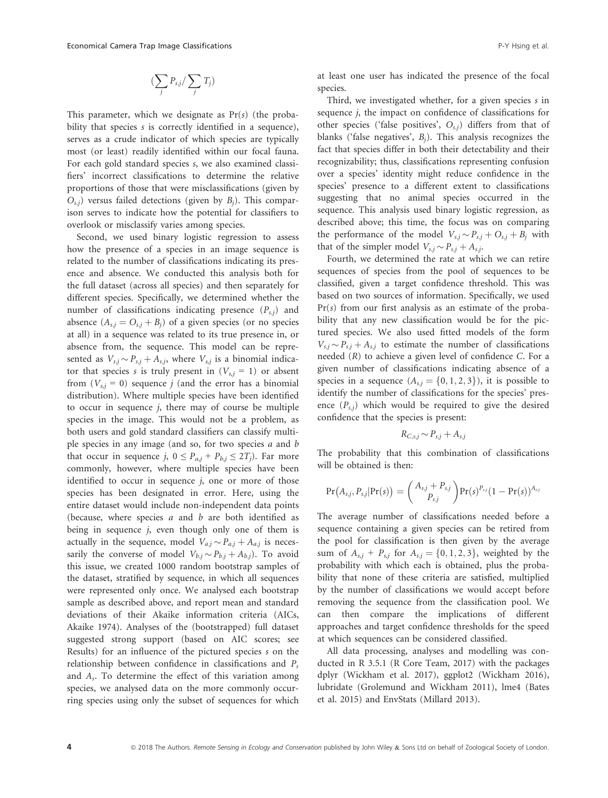$$
(\sum_j P_{s,j}/\sum_j T_j)
$$

This parameter, which we designate as  $Pr(s)$  (the probability that species s is correctly identified in a sequence), serves as a crude indicator of which species are typically most (or least) readily identified within our focal fauna. For each gold standard species s, we also examined classifiers' incorrect classifications to determine the relative proportions of those that were misclassifications (given by  $O<sub>s,i</sub>$ ) versus failed detections (given by  $B<sub>i</sub>$ ). This comparison serves to indicate how the potential for classifiers to overlook or misclassify varies among species.

Second, we used binary logistic regression to assess how the presence of a species in an image sequence is related to the number of classifications indicating its presence and absence. We conducted this analysis both for the full dataset (across all species) and then separately for different species. Specifically, we determined whether the number of classifications indicating presence  $(P_{s,i})$  and absence  $(A_{s,j} = O_{s,j} + B_j)$  of a given species (or no species at all) in a sequence was related to its true presence in, or absence from, the sequence. This model can be represented as  $V_{s,j} \sim P_{s,j} + A_{s,j}$ , where  $V_{s,j}$  is a binomial indica-<br>tor that species s is truly present in  $(V_{s,j} = 1)$  or absent tor that species s is truly present in  $(V_{s,i} = 1)$  or absent from  $(V_{s,i} = 0)$  sequence j (and the error has a binomial distribution). Where multiple species have been identified to occur in sequence  $j$ , there may of course be multiple species in the image. This would not be a problem, as both users and gold standard classifiers can classify multiple species in any image (and so, for two species a and b that occur in sequence j,  $0 \le P_{a,j} + P_{b,j} \le 2T_j$ ). Far more commonly, however, where multiple species have been identified to occur in sequence  $j$ , one or more of those species has been designated in error. Here, using the entire dataset would include non-independent data points (because, where species  $a$  and  $b$  are both identified as being in sequence  $j$ , even though only one of them is actually in the sequence, model  $V_{aj} \sim P_{aj} + A_{aj}$  is neces-<br>sarily the converse of model  $V_{aj} \sim P_{aj} + A_{aj}$ . To avoid sarily the converse of model  $V_{b,j} \sim P_{b,j} + A_{b,j}$ ). To avoid<br>this issue we created 1000 random bootstrap samples of this issue, we created 1000 random bootstrap samples of the dataset, stratified by sequence, in which all sequences were represented only once. We analysed each bootstrap sample as described above, and report mean and standard deviations of their Akaike information criteria (AICs, Akaike 1974). Analyses of the (bootstrapped) full dataset suggested strong support (based on AIC scores; see Results) for an influence of the pictured species s on the relationship between confidence in classifications and  $P_s$ and  $A_s$ . To determine the effect of this variation among species, we analysed data on the more commonly occurring species using only the subset of sequences for which at least one user has indicated the presence of the focal species.

Third, we investigated whether, for a given species s in sequence *i*, the impact on confidence of classifications for other species ('false positives',  $O_{s,i}$ ) differs from that of blanks ('false negatives',  $B_i$ ). This analysis recognizes the fact that species differ in both their detectability and their recognizability; thus, classifications representing confusion over a species' identity might reduce confidence in the species' presence to a different extent to classifications suggesting that no animal species occurred in the sequence. This analysis used binary logistic regression, as described above; this time, the focus was on comparing the performance of the model  $V_{s,j} \sim P_{s,j} + O_{s,j} + B_j$  with<br>that of the simpler model  $V_{s,j} \sim P_{s,j} + A_j$ . that of the simpler model  $V_{sj} \sim P_{sj} + A_{sj}$ .<br>Fourth, we determined the rate at while

Fourth, we determined the rate at which we can retire sequences of species from the pool of sequences to be classified, given a target confidence threshold. This was based on two sources of information. Specifically, we used  $Pr(s)$  from our first analysis as an estimate of the probability that any new classification would be for the pictured species. We also used fitted models of the form  $V_{s,j} \sim P_{s,j} + A_{s,j}$  to estimate the number of classifications<br>needed (P) to achieve a given level of confidence C. For a needed  $(R)$  to achieve a given level of confidence  $C$ . For a given number of classifications indicating absence of a species in a sequence  $(A_{s,j} = \{0, 1, 2, 3\})$ , it is possible to identify the number of classifications for the species' presence  $(P_{s,i})$  which would be required to give the desired confidence that the species is present:

$$
R_{C,s,j} \sim P_{s,j} + A_{s,j}
$$

The probability that this combination of classifications will be obtained is then:

$$
Pr(A_{s,j}, P_{s,j}|Pr(s)) = {A_{s,j} + P_{s,j} \choose P_{s,j}} Pr(s)^{P_{s,j}} (1 - Pr(s))^{A_{s,j}}
$$

The average number of classifications needed before a sequence containing a given species can be retired from the pool for classification is then given by the average sum of  $A_{s,j}$  +  $P_{s,j}$  for  $A_{s,j} = \{0, 1, 2, 3\}$ , weighted by the probability with which each is obtained, plus the probability that none of these criteria are satisfied, multiplied by the number of classifications we would accept before removing the sequence from the classification pool. We can then compare the implications of different approaches and target confidence thresholds for the speed at which sequences can be considered classified.

All data processing, analyses and modelling was conducted in R 3.5.1 (R Core Team, 2017) with the packages dplyr (Wickham et al. 2017), ggplot2 (Wickham 2016), lubridate (Grolemund and Wickham 2011), lme4 (Bates et al. 2015) and EnvStats (Millard 2013).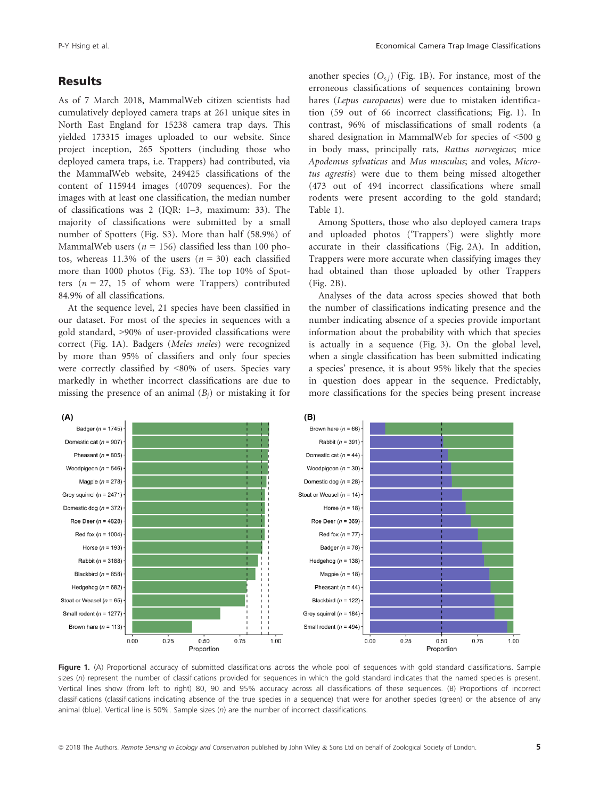### Results

As of 7 March 2018, MammalWeb citizen scientists had cumulatively deployed camera traps at 261 unique sites in North East England for 15238 camera trap days. This yielded 173315 images uploaded to our website. Since project inception, 265 Spotters (including those who deployed camera traps, i.e. Trappers) had contributed, via the MammalWeb website, 249425 classifications of the content of 115944 images (40709 sequences). For the images with at least one classification, the median number of classifications was 2 (IQR: 1–3, maximum: 33). The majority of classifications were submitted by a small number of Spotters (Fig. S3). More than half (58.9%) of MammalWeb users ( $n = 156$ ) classified less than 100 photos, whereas 11.3% of the users  $(n = 30)$  each classified more than 1000 photos (Fig. S3). The top 10% of Spotters ( $n = 27$ , 15 of whom were Trappers) contributed 84.9% of all classifications.

At the sequence level, 21 species have been classified in our dataset. For most of the species in sequences with a gold standard, >90% of user-provided classifications were correct (Fig. 1A). Badgers (Meles meles) were recognized by more than 95% of classifiers and only four species were correctly classified by <80% of users. Species vary markedly in whether incorrect classifications are due to missing the presence of an animal  $(B_i)$  or mistaking it for another species  $(O_{s,i})$  (Fig. 1B). For instance, most of the erroneous classifications of sequences containing brown hares (Lepus europaeus) were due to mistaken identification (59 out of 66 incorrect classifications; Fig. 1). In contrast, 96% of misclassifications of small rodents (a shared designation in MammalWeb for species of <500 g in body mass, principally rats, Rattus norvegicus; mice Apodemus sylvaticus and Mus musculus; and voles, Microtus agrestis) were due to them being missed altogether (473 out of 494 incorrect classifications where small rodents were present according to the gold standard; Table 1).

Among Spotters, those who also deployed camera traps and uploaded photos ('Trappers') were slightly more accurate in their classifications (Fig. 2A). In addition, Trappers were more accurate when classifying images they had obtained than those uploaded by other Trappers (Fig. 2B).

Analyses of the data across species showed that both the number of classifications indicating presence and the number indicating absence of a species provide important information about the probability with which that species is actually in a sequence (Fig. 3). On the global level, when a single classification has been submitted indicating a species' presence, it is about 95% likely that the species in question does appear in the sequence. Predictably, more classifications for the species being present increase



Figure 1. (A) Proportional accuracy of submitted classifications across the whole pool of sequences with gold standard classifications. Sample sizes (n) represent the number of classifications provided for sequences in which the gold standard indicates that the named species is present. Vertical lines show (from left to right) 80, 90 and 95% accuracy across all classifications of these sequences. (B) Proportions of incorrect classifications (classifications indicating absence of the true species in a sequence) that were for another species (green) or the absence of any animal (blue). Vertical line is 50%. Sample sizes (n) are the number of incorrect classifications.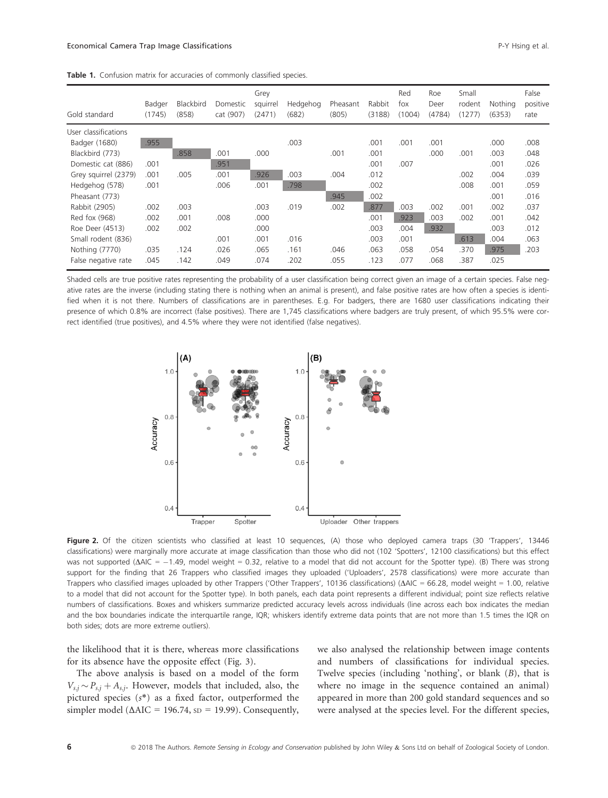|  |  |  |  |  |  |  | Table 1. Confusion matrix for accuracies of commonly classified species. |  |  |
|--|--|--|--|--|--|--|--------------------------------------------------------------------------|--|--|
|--|--|--|--|--|--|--|--------------------------------------------------------------------------|--|--|

| Gold standard        | Badger<br>(1745) | Blackbird<br>(858) | Domestic<br>cat (907) | Grey<br>squirrel<br>(2471) | Hedgehog<br>(682) | Pheasant<br>(805) | Rabbit<br>(3188) | Red<br>fox<br>(1004) | Roe<br>Deer<br>(4784) | Small<br>rodent<br>(1277) | Nothing<br>(6353) | False<br>positive<br>rate |
|----------------------|------------------|--------------------|-----------------------|----------------------------|-------------------|-------------------|------------------|----------------------|-----------------------|---------------------------|-------------------|---------------------------|
| User classifications |                  |                    |                       |                            |                   |                   |                  |                      |                       |                           |                   |                           |
| Badger (1680)        | .955             |                    |                       |                            | .003              |                   | .001             | .001                 | .001                  |                           | .000              | .008                      |
| Blackbird (773)      |                  | .858               | .001                  | .000                       |                   | .001              | .001             |                      | .000                  | .001                      | .003              | .048                      |
| Domestic cat (886)   | .001             |                    | .951                  |                            |                   |                   | .001             | .007                 |                       |                           | .001              | .026                      |
| Grey squirrel (2379) | .001             | .005               | .001                  | .926                       | .003              | .004              | .012             |                      |                       | .002                      | .004              | .039                      |
| Hedgehog (578)       | .001             |                    | .006                  | .001                       | .798              |                   | .002             |                      |                       | .008                      | .001              | .059                      |
| Pheasant (773)       |                  |                    |                       |                            |                   | .945              | .002             |                      |                       |                           | .001              | .016                      |
| Rabbit (2905)        | .002             | .003               |                       | .003                       | .019              | .002              | .877             | .003                 | .002                  | .001                      | .002              | .037                      |
| Red fox (968)        | .002             | .001               | .008                  | .000                       |                   |                   | .001             | .923                 | .003                  | .002                      | .001              | .042                      |
| Roe Deer (4513)      | .002             | .002               |                       | .000                       |                   |                   | .003             | .004                 | .932                  |                           | .003              | .012                      |
| Small rodent (836)   |                  |                    | .001                  | .001                       | .016              |                   | .003             | .001                 |                       | .613                      | .004              | .063                      |
| Nothing (7770)       | .035             | .124               | .026                  | .065                       | .161              | .046              | .063             | .058                 | .054                  | .370                      | .975              | .203                      |
| False negative rate  | .045             | .142               | .049                  | .074                       | .202              | .055              | .123             | .077                 | .068                  | .387                      | .025              |                           |

Shaded cells are true positive rates representing the probability of a user classification being correct given an image of a certain species. False negative rates are the inverse (including stating there is nothing when an animal is present), and false positive rates are how often a species is identified when it is not there. Numbers of classifications are in parentheses. E.g. For badgers, there are 1680 user classifications indicating their presence of which 0.8% are incorrect (false positives). There are 1,745 classifications where badgers are truly present, of which 95.5% were correct identified (true positives), and 4.5% where they were not identified (false negatives).



Figure 2. Of the citizen scientists who classified at least 10 sequences, (A) those who deployed camera traps (30 'Trappers', 13446 classifications) were marginally more accurate at image classification than those who did not (102 'Spotters', 12100 classifications) but this effect was not supported ( $\Delta AIC = -1.49$ , model weight = 0.32, relative to a model that did not account for the Spotter type). (B) There was strong support for the finding that 26 Trappers who classified images they uploaded ('Uploaders', 2578 classifications) were more accurate than Trappers who classified images uploaded by other Trappers ('Other Trappers', 10136 classifications) ( $\Delta AIC = 66.28$ , model weight = 1.00, relative to a model that did not account for the Spotter type). In both panels, each data point represents a different individual; point size reflects relative numbers of classifications. Boxes and whiskers summarize predicted accuracy levels across individuals (line across each box indicates the median and the box boundaries indicate the interquartile range, IQR; whiskers identify extreme data points that are not more than 1.5 times the IQR on both sides; dots are more extreme outliers).

the likelihood that it is there, whereas more classifications for its absence have the opposite effect (Fig. 3).

The above analysis is based on a model of the form  $V_{s,j} \sim P_{s,j} + A_{s,j}$ . However, models that included, also, the pictured species  $(s^*)$  as a fixed factor, outperformed the pictured species  $(s^*)$  as a fixed factor, outperformed the simpler model ( $\triangle AIC = 196.74$ ,  $SD = 19.99$ ). Consequently, we also analysed the relationship between image contents and numbers of classifications for individual species. Twelve species (including 'nothing', or blank (B), that is where no image in the sequence contained an animal) appeared in more than 200 gold standard sequences and so were analysed at the species level. For the different species,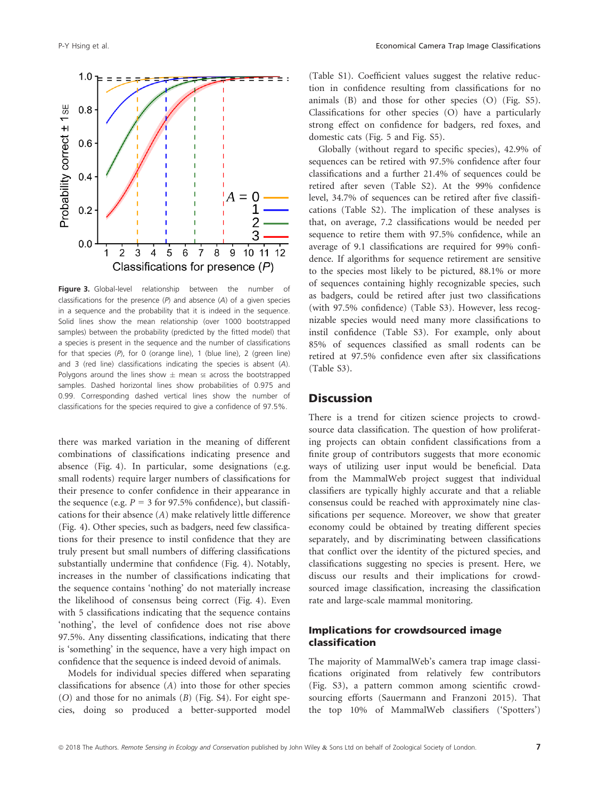

Figure 3. Global-level relationship between the number of classifications for the presence  $(P)$  and absence  $(A)$  of a given species in a sequence and the probability that it is indeed in the sequence. Solid lines show the mean relationship (over 1000 bootstrapped samples) between the probability (predicted by the fitted model) that a species is present in the sequence and the number of classifications for that species (P), for 0 (orange line), 1 (blue line), 2 (green line) and 3 (red line) classifications indicating the species is absent (A). Polygons around the lines show  $\pm$  mean se across the bootstrapped samples. Dashed horizontal lines show probabilities of 0.975 and 0.99. Corresponding dashed vertical lines show the number of classifications for the species required to give a confidence of 97.5%.

there was marked variation in the meaning of different combinations of classifications indicating presence and absence (Fig. 4). In particular, some designations (e.g. small rodents) require larger numbers of classifications for their presence to confer confidence in their appearance in the sequence (e.g.  $P = 3$  for 97.5% confidence), but classifications for their absence (A) make relatively little difference (Fig. 4). Other species, such as badgers, need few classifications for their presence to instil confidence that they are truly present but small numbers of differing classifications substantially undermine that confidence (Fig. 4). Notably, increases in the number of classifications indicating that the sequence contains 'nothing' do not materially increase the likelihood of consensus being correct (Fig. 4). Even with 5 classifications indicating that the sequence contains 'nothing', the level of confidence does not rise above 97.5%. Any dissenting classifications, indicating that there is 'something' in the sequence, have a very high impact on confidence that the sequence is indeed devoid of animals.

Models for individual species differed when separating classifications for absence (A) into those for other species (O) and those for no animals (B) (Fig. S4). For eight species, doing so produced a better-supported model (Table S1). Coefficient values suggest the relative reduction in confidence resulting from classifications for no animals (B) and those for other species (O) (Fig. S5). Classifications for other species (O) have a particularly strong effect on confidence for badgers, red foxes, and domestic cats (Fig. 5 and Fig. S5).

Globally (without regard to specific species), 42.9% of sequences can be retired with 97.5% confidence after four classifications and a further 21.4% of sequences could be retired after seven (Table S2). At the 99% confidence level, 34.7% of sequences can be retired after five classifications (Table S2). The implication of these analyses is that, on average, 7.2 classifications would be needed per sequence to retire them with 97.5% confidence, while an average of 9.1 classifications are required for 99% confidence. If algorithms for sequence retirement are sensitive to the species most likely to be pictured, 88.1% or more of sequences containing highly recognizable species, such as badgers, could be retired after just two classifications (with 97.5% confidence) (Table S3). However, less recognizable species would need many more classifications to instil confidence (Table S3). For example, only about 85% of sequences classified as small rodents can be retired at 97.5% confidence even after six classifications (Table S3).

### **Discussion**

There is a trend for citizen science projects to crowdsource data classification. The question of how proliferating projects can obtain confident classifications from a finite group of contributors suggests that more economic ways of utilizing user input would be beneficial. Data from the MammalWeb project suggest that individual classifiers are typically highly accurate and that a reliable consensus could be reached with approximately nine classifications per sequence. Moreover, we show that greater economy could be obtained by treating different species separately, and by discriminating between classifications that conflict over the identity of the pictured species, and classifications suggesting no species is present. Here, we discuss our results and their implications for crowdsourced image classification, increasing the classification rate and large-scale mammal monitoring.

### Implications for crowdsourced image classification

The majority of MammalWeb's camera trap image classifications originated from relatively few contributors (Fig. S3), a pattern common among scientific crowdsourcing efforts (Sauermann and Franzoni 2015). That the top 10% of MammalWeb classifiers ('Spotters')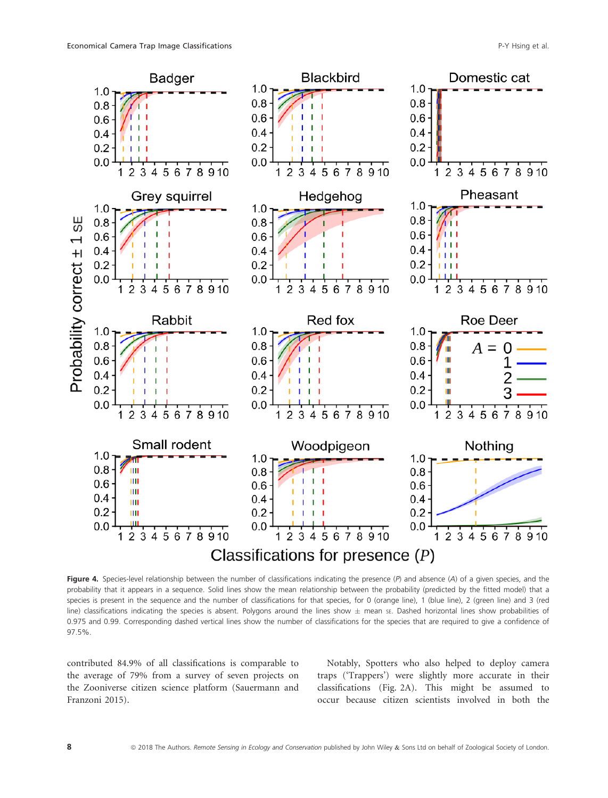

Figure 4. Species-level relationship between the number of classifications indicating the presence  $(P)$  and absence  $(A)$  of a given species, and the probability that it appears in a sequence. Solid lines show the mean relationship between the probability (predicted by the fitted model) that a species is present in the sequence and the number of classifications for that species, for 0 (orange line), 1 (blue line), 2 (green line) and 3 (red line) classifications indicating the species is absent. Polygons around the lines show  $\pm$  mean sE. Dashed horizontal lines show probabilities of 0.975 and 0.99. Corresponding dashed vertical lines show the number of classifications for the species that are required to give a confidence of 97.5%.

contributed 84.9% of all classifications is comparable to the average of 79% from a survey of seven projects on the Zooniverse citizen science platform (Sauermann and Franzoni 2015).

Notably, Spotters who also helped to deploy camera traps ('Trappers') were slightly more accurate in their classifications (Fig. 2A). This might be assumed to occur because citizen scientists involved in both the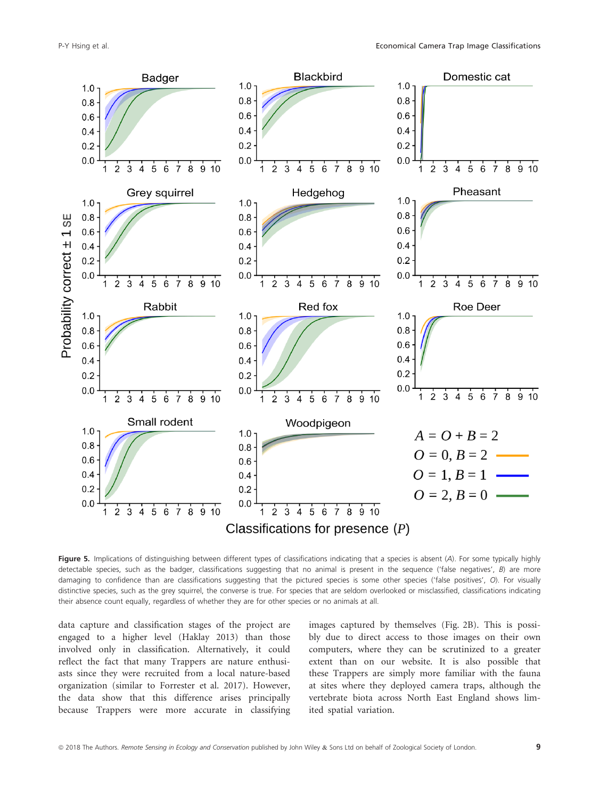

Figure 5. Implications of distinguishing between different types of classifications indicating that a species is absent (A). For some typically highly detectable species, such as the badger, classifications suggesting that no animal is present in the seguence ('false negatives', B) are more damaging to confidence than are classifications suggesting that the pictured species is some other species ('false positives', O). For visually distinctive species, such as the grey squirrel, the converse is true. For species that are seldom overlooked or misclassified, classifications indicating their absence count equally, regardless of whether they are for other species or no animals at all.

data capture and classification stages of the project are engaged to a higher level (Haklay 2013) than those involved only in classification. Alternatively, it could reflect the fact that many Trappers are nature enthusiasts since they were recruited from a local nature-based organization (similar to Forrester et al. 2017). However, the data show that this difference arises principally because Trappers were more accurate in classifying

images captured by themselves (Fig. 2B). This is possibly due to direct access to those images on their own computers, where they can be scrutinized to a greater extent than on our website. It is also possible that these Trappers are simply more familiar with the fauna at sites where they deployed camera traps, although the vertebrate biota across North East England shows limited spatial variation.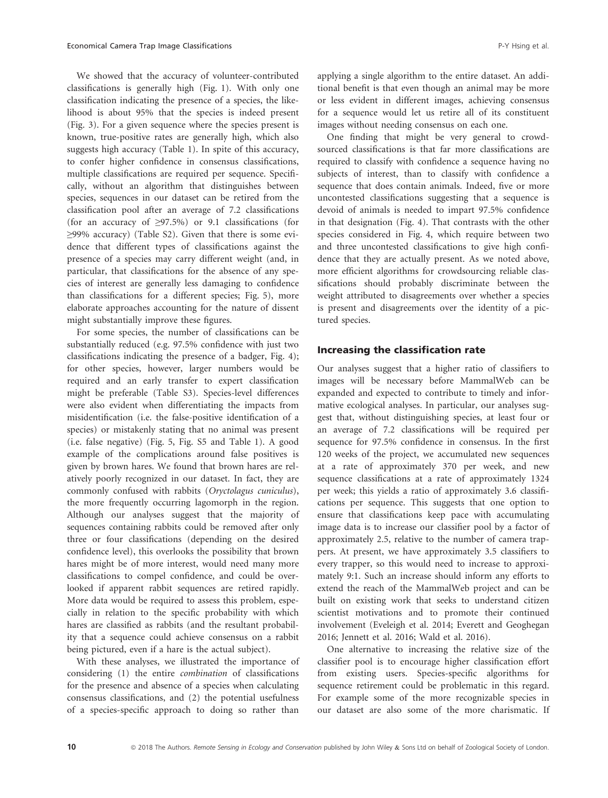We showed that the accuracy of volunteer-contributed classifications is generally high (Fig. 1). With only one classification indicating the presence of a species, the likelihood is about 95% that the species is indeed present (Fig. 3). For a given sequence where the species present is known, true-positive rates are generally high, which also suggests high accuracy (Table 1). In spite of this accuracy, to confer higher confidence in consensus classifications, multiple classifications are required per sequence. Specifically, without an algorithm that distinguishes between species, sequences in our dataset can be retired from the classification pool after an average of 7.2 classifications (for an accuracy of  $\geq$ 97.5%) or 9.1 classifications (for ≥99% accuracy) (Table S2). Given that there is some evidence that different types of classifications against the presence of a species may carry different weight (and, in particular, that classifications for the absence of any species of interest are generally less damaging to confidence than classifications for a different species; Fig. 5), more elaborate approaches accounting for the nature of dissent might substantially improve these figures.

For some species, the number of classifications can be substantially reduced (e.g. 97.5% confidence with just two classifications indicating the presence of a badger, Fig. 4); for other species, however, larger numbers would be required and an early transfer to expert classification might be preferable (Table S3). Species-level differences were also evident when differentiating the impacts from misidentification (i.e. the false-positive identification of a species) or mistakenly stating that no animal was present (i.e. false negative) (Fig. 5, Fig. S5 and Table 1). A good example of the complications around false positives is given by brown hares. We found that brown hares are relatively poorly recognized in our dataset. In fact, they are commonly confused with rabbits (Oryctolagus cuniculus), the more frequently occurring lagomorph in the region. Although our analyses suggest that the majority of sequences containing rabbits could be removed after only three or four classifications (depending on the desired confidence level), this overlooks the possibility that brown hares might be of more interest, would need many more classifications to compel confidence, and could be overlooked if apparent rabbit sequences are retired rapidly. More data would be required to assess this problem, especially in relation to the specific probability with which hares are classified as rabbits (and the resultant probability that a sequence could achieve consensus on a rabbit being pictured, even if a hare is the actual subject).

With these analyses, we illustrated the importance of considering (1) the entire combination of classifications for the presence and absence of a species when calculating consensus classifications, and (2) the potential usefulness of a species-specific approach to doing so rather than applying a single algorithm to the entire dataset. An additional benefit is that even though an animal may be more or less evident in different images, achieving consensus for a sequence would let us retire all of its constituent images without needing consensus on each one.

One finding that might be very general to crowdsourced classifications is that far more classifications are required to classify with confidence a sequence having no subjects of interest, than to classify with confidence a sequence that does contain animals. Indeed, five or more uncontested classifications suggesting that a sequence is devoid of animals is needed to impart 97.5% confidence in that designation (Fig. 4). That contrasts with the other species considered in Fig. 4, which require between two and three uncontested classifications to give high confidence that they are actually present. As we noted above, more efficient algorithms for crowdsourcing reliable classifications should probably discriminate between the weight attributed to disagreements over whether a species is present and disagreements over the identity of a pictured species.

#### Increasing the classification rate

Our analyses suggest that a higher ratio of classifiers to images will be necessary before MammalWeb can be expanded and expected to contribute to timely and informative ecological analyses. In particular, our analyses suggest that, without distinguishing species, at least four or an average of 7.2 classifications will be required per sequence for 97.5% confidence in consensus. In the first 120 weeks of the project, we accumulated new sequences at a rate of approximately 370 per week, and new sequence classifications at a rate of approximately 1324 per week; this yields a ratio of approximately 3.6 classifications per sequence. This suggests that one option to ensure that classifications keep pace with accumulating image data is to increase our classifier pool by a factor of approximately 2.5, relative to the number of camera trappers. At present, we have approximately 3.5 classifiers to every trapper, so this would need to increase to approximately 9:1. Such an increase should inform any efforts to extend the reach of the MammalWeb project and can be built on existing work that seeks to understand citizen scientist motivations and to promote their continued involvement (Eveleigh et al. 2014; Everett and Geoghegan 2016; Jennett et al. 2016; Wald et al. 2016).

One alternative to increasing the relative size of the classifier pool is to encourage higher classification effort from existing users. Species-specific algorithms for sequence retirement could be problematic in this regard. For example some of the more recognizable species in our dataset are also some of the more charismatic. If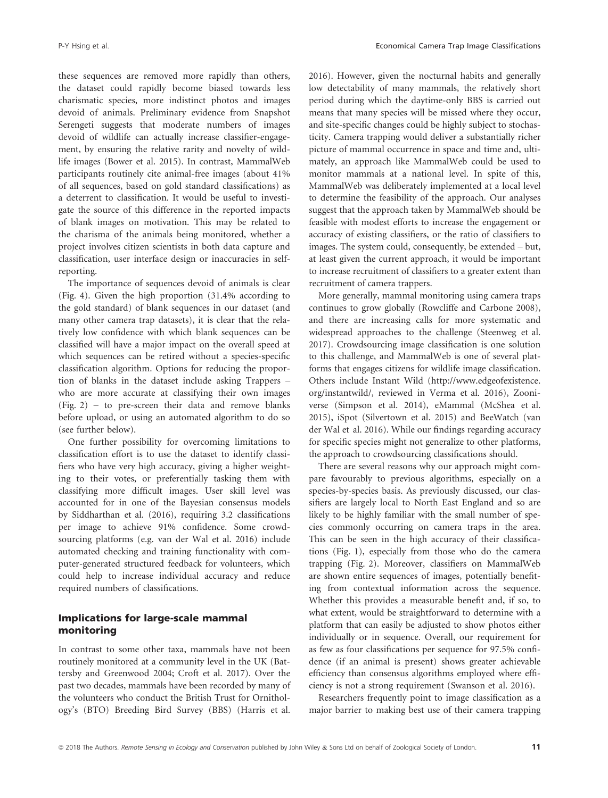these sequences are removed more rapidly than others, the dataset could rapidly become biased towards less charismatic species, more indistinct photos and images devoid of animals. Preliminary evidence from Snapshot Serengeti suggests that moderate numbers of images devoid of wildlife can actually increase classifier-engagement, by ensuring the relative rarity and novelty of wildlife images (Bower et al. 2015). In contrast, MammalWeb participants routinely cite animal-free images (about 41% of all sequences, based on gold standard classifications) as a deterrent to classification. It would be useful to investigate the source of this difference in the reported impacts of blank images on motivation. This may be related to the charisma of the animals being monitored, whether a project involves citizen scientists in both data capture and classification, user interface design or inaccuracies in selfreporting.

The importance of sequences devoid of animals is clear (Fig. 4). Given the high proportion (31.4% according to the gold standard) of blank sequences in our dataset (and many other camera trap datasets), it is clear that the relatively low confidence with which blank sequences can be classified will have a major impact on the overall speed at which sequences can be retired without a species-specific classification algorithm. Options for reducing the proportion of blanks in the dataset include asking Trappers – who are more accurate at classifying their own images (Fig. 2) – to pre-screen their data and remove blanks before upload, or using an automated algorithm to do so (see further below).

One further possibility for overcoming limitations to classification effort is to use the dataset to identify classifiers who have very high accuracy, giving a higher weighting to their votes, or preferentially tasking them with classifying more difficult images. User skill level was accounted for in one of the Bayesian consensus models by Siddharthan et al. (2016), requiring 3.2 classifications per image to achieve 91% confidence. Some crowdsourcing platforms (e.g. van der Wal et al. 2016) include automated checking and training functionality with computer-generated structured feedback for volunteers, which could help to increase individual accuracy and reduce required numbers of classifications.

### Implications for large-scale mammal monitoring

In contrast to some other taxa, mammals have not been routinely monitored at a community level in the UK (Battersby and Greenwood 2004; Croft et al. 2017). Over the past two decades, mammals have been recorded by many of the volunteers who conduct the British Trust for Ornithology's (BTO) Breeding Bird Survey (BBS) (Harris et al. 2016). However, given the nocturnal habits and generally low detectability of many mammals, the relatively short period during which the daytime-only BBS is carried out means that many species will be missed where they occur, and site-specific changes could be highly subject to stochasticity. Camera trapping would deliver a substantially richer picture of mammal occurrence in space and time and, ultimately, an approach like MammalWeb could be used to monitor mammals at a national level. In spite of this, MammalWeb was deliberately implemented at a local level to determine the feasibility of the approach. Our analyses suggest that the approach taken by MammalWeb should be feasible with modest efforts to increase the engagement or accuracy of existing classifiers, or the ratio of classifiers to images. The system could, consequently, be extended – but, at least given the current approach, it would be important to increase recruitment of classifiers to a greater extent than recruitment of camera trappers.

More generally, mammal monitoring using camera traps continues to grow globally (Rowcliffe and Carbone 2008), and there are increasing calls for more systematic and widespread approaches to the challenge (Steenweg et al. 2017). Crowdsourcing image classification is one solution to this challenge, and MammalWeb is one of several platforms that engages citizens for wildlife image classification. Others include Instant Wild [\(http://www.edgeofexistence.](http://www.edgeofexistence.org/instantwild/) [org/instantwild/,](http://www.edgeofexistence.org/instantwild/) reviewed in Verma et al. 2016), Zooniverse (Simpson et al. 2014), eMammal (McShea et al. 2015), iSpot (Silvertown et al. 2015) and BeeWatch (van der Wal et al. 2016). While our findings regarding accuracy for specific species might not generalize to other platforms, the approach to crowdsourcing classifications should.

There are several reasons why our approach might compare favourably to previous algorithms, especially on a species-by-species basis. As previously discussed, our classifiers are largely local to North East England and so are likely to be highly familiar with the small number of species commonly occurring on camera traps in the area. This can be seen in the high accuracy of their classifications (Fig. 1), especially from those who do the camera trapping (Fig. 2). Moreover, classifiers on MammalWeb are shown entire sequences of images, potentially benefiting from contextual information across the sequence. Whether this provides a measurable benefit and, if so, to what extent, would be straightforward to determine with a platform that can easily be adjusted to show photos either individually or in sequence. Overall, our requirement for as few as four classifications per sequence for 97.5% confidence (if an animal is present) shows greater achievable efficiency than consensus algorithms employed where efficiency is not a strong requirement (Swanson et al. 2016).

Researchers frequently point to image classification as a major barrier to making best use of their camera trapping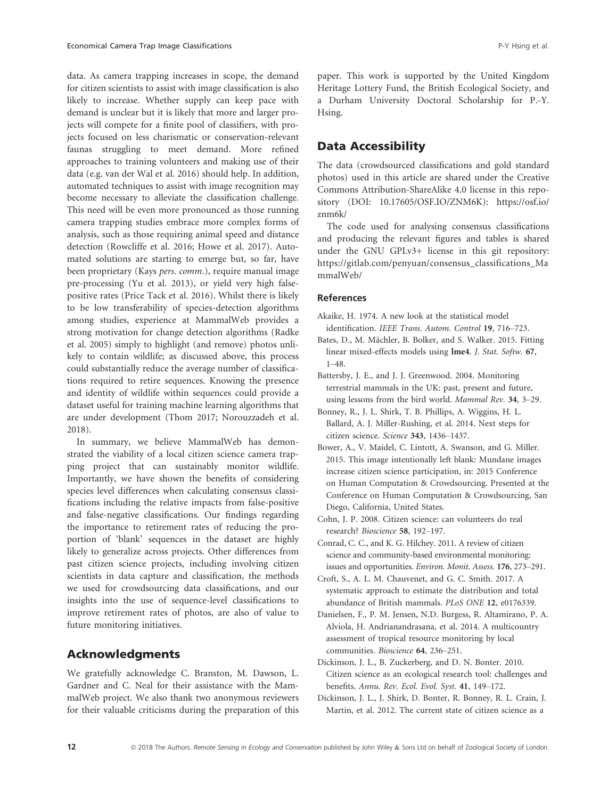data. As camera trapping increases in scope, the demand for citizen scientists to assist with image classification is also likely to increase. Whether supply can keep pace with demand is unclear but it is likely that more and larger projects will compete for a finite pool of classifiers, with projects focused on less charismatic or conservation-relevant faunas struggling to meet demand. More refined approaches to training volunteers and making use of their data (e.g. van der Wal et al. 2016) should help. In addition, automated techniques to assist with image recognition may become necessary to alleviate the classification challenge. This need will be even more pronounced as those running camera trapping studies embrace more complex forms of analysis, such as those requiring animal speed and distance detection (Rowcliffe et al. 2016; Howe et al. 2017). Automated solutions are starting to emerge but, so far, have been proprietary (Kays pers. comm.), require manual image pre-processing (Yu et al. 2013), or yield very high falsepositive rates (Price Tack et al. 2016). Whilst there is likely to be low transferability of species-detection algorithms among studies, experience at MammalWeb provides a strong motivation for change detection algorithms (Radke et al. 2005) simply to highlight (and remove) photos unlikely to contain wildlife; as discussed above, this process could substantially reduce the average number of classifications required to retire sequences. Knowing the presence and identity of wildlife within sequences could provide a dataset useful for training machine learning algorithms that are under development (Thom 2017; Norouzzadeh et al. 2018).

In summary, we believe MammalWeb has demonstrated the viability of a local citizen science camera trapping project that can sustainably monitor wildlife. Importantly, we have shown the benefits of considering species level differences when calculating consensus classifications including the relative impacts from false-positive and false-negative classifications. Our findings regarding the importance to retirement rates of reducing the proportion of 'blank' sequences in the dataset are highly likely to generalize across projects. Other differences from past citizen science projects, including involving citizen scientists in data capture and classification, the methods we used for crowdsourcing data classifications, and our insights into the use of sequence-level classifications to improve retirement rates of photos, are also of value to future monitoring initiatives.

# Acknowledgments

We gratefully acknowledge C. Branston, M. Dawson, L. Gardner and C. Neal for their assistance with the MammalWeb project. We also thank two anonymous reviewers for their valuable criticisms during the preparation of this paper. This work is supported by the United Kingdom Heritage Lottery Fund, the British Ecological Society, and a Durham University Doctoral Scholarship for P.-Y. Hsing.

## Data Accessibility

The data (crowdsourced classifications and gold standard photos) used in this article are shared under the Creative Commons Attribution-ShareAlike 4.0 license in this repository (DOI: 10.17605/OSF.IO/ZNM6K): [https://osf.io/](https://osf.io/znm6k/) [znm6k/](https://osf.io/znm6k/)

The code used for analysing consensus classifications and producing the relevant figures and tables is shared under the GNU GPLv3+ license in this git repository: [https://gitlab.com/penyuan/consensus\\_classifications\\_Ma](https://gitlab.com/penyuan/consensus_classifications_MammalWeb/) [mmalWeb/](https://gitlab.com/penyuan/consensus_classifications_MammalWeb/)

#### References

- Akaike, H. 1974. A new look at the statistical model identification. IEEE Trans. Autom. Control 19, 716–723.
- Bates, D., M. Mächler, B. Bolker, and S. Walker. 2015. Fitting linear mixed-effects models using lme4. J. Stat. Softw. 67, 1–48.
- Battersby, J. E., and J. J. Greenwood. 2004. Monitoring terrestrial mammals in the UK: past, present and future, using lessons from the bird world. Mammal Rev. 34, 3–29.
- Bonney, R., J. L. Shirk, T. B. Phillips, A. Wiggins, H. L. Ballard, A. J. Miller-Rushing, et al. 2014. Next steps for citizen science. Science 343, 1436–1437.
- Bower, A., V. Maidel, C. Lintott, A. Swanson, and G. Miller. 2015. This image intentionally left blank: Mundane images increase citizen science participation, in: 2015 Conference on Human Computation & Crowdsourcing. Presented at the Conference on Human Computation & Crowdsourcing, San Diego, California, United States.
- Cohn, J. P. 2008. Citizen science: can volunteers do real research? Bioscience 58, 192–197.
- Conrad, C. C., and K. G. Hilchey. 2011. A review of citizen science and community-based environmental monitoring: issues and opportunities. Environ. Monit. Assess. 176, 273–291.
- Croft, S., A. L. M. Chauvenet, and G. C. Smith. 2017. A systematic approach to estimate the distribution and total abundance of British mammals. PLoS ONE 12, e0176339.
- Danielsen, F., P. M. Jensen, N.D. Burgess, R. Altamirano, P. A. Alviola, H. Andrianandrasana, et al. 2014. A multicountry assessment of tropical resource monitoring by local communities. Bioscience 64, 236–251.
- Dickinson, J. L., B. Zuckerberg, and D. N. Bonter. 2010. Citizen science as an ecological research tool: challenges and benefits. Annu. Rev. Ecol. Evol. Syst. 41, 149–172.
- Dickinson, J. L., J. Shirk, D. Bonter, R. Bonney, R. L. Crain, J. Martin, et al. 2012. The current state of citizen science as a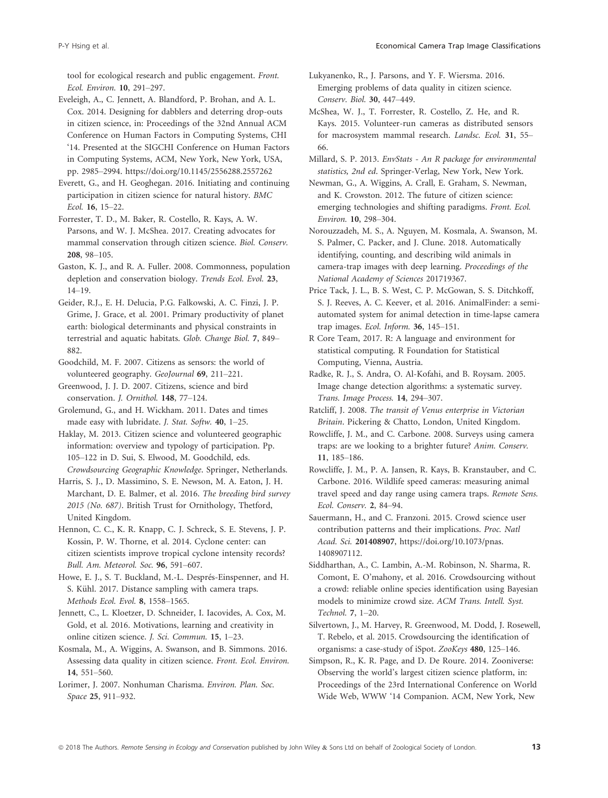tool for ecological research and public engagement. Front. Ecol. Environ. 10, 291–297.

Eveleigh, A., C. Jennett, A. Blandford, P. Brohan, and A. L. Cox. 2014. Designing for dabblers and deterring drop-outs in citizen science, in: Proceedings of the 32nd Annual ACM Conference on Human Factors in Computing Systems, CHI '14. Presented at the SIGCHI Conference on Human Factors in Computing Systems, ACM, New York, New York, USA, pp. 2985–2994.<https://doi.org/10.1145/2556288.2557262>

Everett, G., and H. Geoghegan. 2016. Initiating and continuing participation in citizen science for natural history. BMC Ecol. 16, 15–22.

Forrester, T. D., M. Baker, R. Costello, R. Kays, A. W. Parsons, and W. J. McShea. 2017. Creating advocates for mammal conservation through citizen science. Biol. Conserv. 208, 98–105.

Gaston, K. J., and R. A. Fuller. 2008. Commonness, population depletion and conservation biology. Trends Ecol. Evol. 23, 14–19.

Geider, R.J., E. H. Delucia, P.G. Falkowski, A. C. Finzi, J. P. Grime, J. Grace, et al. 2001. Primary productivity of planet earth: biological determinants and physical constraints in terrestrial and aquatic habitats. Glob. Change Biol. 7, 849– 882.

Goodchild, M. F. 2007. Citizens as sensors: the world of volunteered geography. GeoJournal 69, 211–221.

Greenwood, J. J. D. 2007. Citizens, science and bird conservation. J. Ornithol. 148, 77–124.

Grolemund, G., and H. Wickham. 2011. Dates and times made easy with lubridate. J. Stat. Softw. 40, 1–25.

Haklay, M. 2013. Citizen science and volunteered geographic information: overview and typology of participation. Pp. 105–122 in D. Sui, S. Elwood, M. Goodchild, eds. Crowdsourcing Geographic Knowledge. Springer, Netherlands.

Harris, S. J., D. Massimino, S. E. Newson, M. A. Eaton, J. H. Marchant, D. E. Balmer, et al. 2016. The breeding bird survey 2015 (No. 687). British Trust for Ornithology, Thetford, United Kingdom.

Hennon, C. C., K. R. Knapp, C. J. Schreck, S. E. Stevens, J. P. Kossin, P. W. Thorne, et al. 2014. Cyclone center: can citizen scientists improve tropical cyclone intensity records? Bull. Am. Meteorol. Soc. 96, 591–607.

Howe, E. J., S. T. Buckland, M.-L. Després-Einspenner, and H. S. Kühl. 2017. Distance sampling with camera traps. Methods Ecol. Evol. 8, 1558–1565.

Jennett, C., L. Kloetzer, D. Schneider, I. Iacovides, A. Cox, M. Gold, et al. 2016. Motivations, learning and creativity in online citizen science. J. Sci. Commun. 15, 1–23.

Kosmala, M., A. Wiggins, A. Swanson, and B. Simmons. 2016. Assessing data quality in citizen science. Front. Ecol. Environ. 14, 551–560.

Lorimer, J. 2007. Nonhuman Charisma. Environ. Plan. Soc. Space 25, 911–932.

Lukyanenko, R., J. Parsons, and Y. F. Wiersma. 2016. Emerging problems of data quality in citizen science. Conserv. Biol. 30, 447–449.

McShea, W. J., T. Forrester, R. Costello, Z. He, and R. Kays. 2015. Volunteer-run cameras as distributed sensors for macrosystem mammal research. Landsc. Ecol. 31, 55– 66.

Millard, S. P. 2013. EnvStats - An R package for environmental statistics, 2nd ed. Springer-Verlag, New York, New York.

Newman, G., A. Wiggins, A. Crall, E. Graham, S. Newman, and K. Crowston. 2012. The future of citizen science: emerging technologies and shifting paradigms. Front. Ecol. Environ. 10, 298–304.

Norouzzadeh, M. S., A. Nguyen, M. Kosmala, A. Swanson, M. S. Palmer, C. Packer, and J. Clune. 2018. Automatically identifying, counting, and describing wild animals in camera-trap images with deep learning. Proceedings of the National Academy of Sciences 201719367.

Price Tack, J. L., B. S. West, C. P. McGowan, S. S. Ditchkoff, S. J. Reeves, A. C. Keever, et al. 2016. AnimalFinder: a semiautomated system for animal detection in time-lapse camera trap images. Ecol. Inform. 36, 145–151.

R Core Team, 2017. R: A language and environment for statistical computing. R Foundation for Statistical Computing, Vienna, Austria.

Radke, R. J., S. Andra, O. Al-Kofahi, and B. Roysam. 2005. Image change detection algorithms: a systematic survey. Trans. Image Process. 14, 294–307.

Ratcliff, J. 2008. The transit of Venus enterprise in Victorian Britain. Pickering & Chatto, London, United Kingdom.

Rowcliffe, J. M., and C. Carbone. 2008. Surveys using camera traps: are we looking to a brighter future? Anim. Conserv. 11, 185–186.

Rowcliffe, J. M., P. A. Jansen, R. Kays, B. Kranstauber, and C. Carbone. 2016. Wildlife speed cameras: measuring animal travel speed and day range using camera traps. Remote Sens. Ecol. Conserv. 2, 84–94.

Sauermann, H., and C. Franzoni. 2015. Crowd science user contribution patterns and their implications. Proc. Natl Acad. Sci. <sup>201408907</sup>, [https://doi.org/10.1073/pnas.](https://doi.org/10.1073/pnas.1408907112) [1408907112.](https://doi.org/10.1073/pnas.1408907112)

Siddharthan, A., C. Lambin, A.-M. Robinson, N. Sharma, R. Comont, E. O'mahony, et al. 2016. Crowdsourcing without a crowd: reliable online species identification using Bayesian models to minimize crowd size. ACM Trans. Intell. Syst. Technol. 7, 1–20.

Silvertown, J., M. Harvey, R. Greenwood, M. Dodd, J. Rosewell, T. Rebelo, et al. 2015. Crowdsourcing the identification of organisms: a case-study of iSpot. ZooKeys 480, 125–146.

Simpson, R., K. R. Page, and D. De Roure. 2014. Zooniverse: Observing the world's largest citizen science platform, in: Proceedings of the 23rd International Conference on World Wide Web, WWW '14 Companion. ACM, New York, New